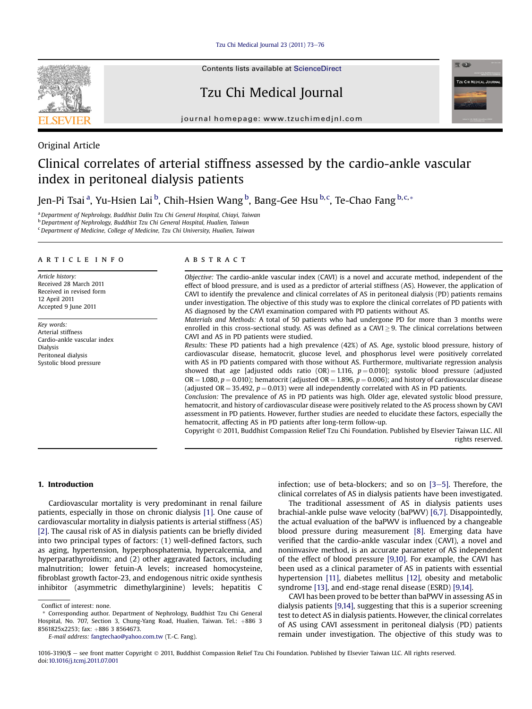[Tzu Chi Medical Journal 23 \(2011\) 73](http://dx.doi.org/10.1016/j.tcmj.2011.07.001)-[76](http://dx.doi.org/10.1016/j.tcmj.2011.07.001)



Contents lists available at [ScienceDirect](www.sciencedirect.com/science/journal/10163190)

# Tzu Chi Medical Journal



journal homepage: [www.tzuchimedjnl.com](http://www.tzuchimedjnl.com)

# Original Article

# Clinical correlates of arterial stiffness assessed by the cardio-ankle vascular index in peritoneal dialysis patients

Jen-Pi Tsai <sup>a</sup>, Yu-Hsien Lai <sup>b</sup>, Chih-Hsien Wang <sup>b</sup>, Bang-Gee Hsu <sup>b, c</sup>, Te-Chao Fang <sup>b, c,</sup> \*

<sup>a</sup> Department of Nephrology, Buddhist Dalin Tzu Chi General Hospital, Chiayi, Taiwan

b Department of Nephrology, Buddhist Tzu Chi General Hospital, Hualien, Taiwan

<sup>c</sup> Department of Medicine, College of Medicine, Tzu Chi University, Hualien, Taiwan

#### article info

Article history: Received 28 March 2011 Received in revised form 12 April 2011 Accepted 9 June 2011

Key words: Arterial stiffness Cardio-ankle vascular index Dialysis Peritoneal dialysis Systolic blood pressure

### **ABSTRACT**

Objective: The cardio-ankle vascular index (CAVI) is a novel and accurate method, independent of the effect of blood pressure, and is used as a predictor of arterial stiffness (AS). However, the application of CAVI to identify the prevalence and clinical correlates of AS in peritoneal dialysis (PD) patients remains under investigation. The objective of this study was to explore the clinical correlates of PD patients with AS diagnosed by the CAVI examination compared with PD patients without AS.

Materials and Methods: A total of 50 patients who had undergone PD for more than 3 months were enrolled in this cross-sectional study. AS was defined as a CAVI  $\geq$  9. The clinical correlations between CAVI and AS in PD patients were studied.

Results: These PD patients had a high prevalence (42%) of AS. Age, systolic blood pressure, history of cardiovascular disease, hematocrit, glucose level, and phosphorus level were positively correlated with AS in PD patients compared with those without AS. Furthermore, multivariate regression analysis showed that age [adjusted odds ratio  $(OR) = 1.116$ ,  $p = 0.010$ ]; systolic blood pressure (adjusted OR = 1.080,  $p = 0.010$ ); hematocrit (adjusted OR = 1.896,  $p = 0.006$ ); and history of cardiovascular disease (adjusted OR = 35.492,  $p = 0.013$ ) were all independently correlated with AS in PD patients.

Conclusion: The prevalence of AS in PD patients was high. Older age, elevated systolic blood pressure, hematocrit, and history of cardiovascular disease were positively related to the AS process shown by CAVI assessment in PD patients. However, further studies are needed to elucidate these factors, especially the hematocrit, affecting AS in PD patients after long-term follow-up.

Copyright 2011, Buddhist Compassion Relief Tzu Chi Foundation. Published by Elsevier Taiwan LLC. All rights reserved.

### 1. Introduction

Cardiovascular mortality is very predominant in renal failure patients, especially in those on chronic dialysis [\[1\].](#page-3-0) One cause of cardiovascular mortality in dialysis patients is arterial stiffness (AS) [\[2\]](#page-3-0). The causal risk of AS in dialysis patients can be briefly divided into two principal types of factors: (1) well-defined factors, such as aging, hypertension, hyperphosphatemia, hypercalcemia, and hyperparathyroidism; and (2) other aggravated factors, including malnutrition; lower fetuin-A levels; increased homocysteine, fibroblast growth factor-23, and endogenous nitric oxide synthesis inhibitor (asymmetric dimethylarginine) levels; hepatitis C

E-mail address: [fangtechao@yahoo.com.tw](mailto:fangtechao@yahoo.com.tw) (T.-C. Fang).

infection; use of beta-blockers; and so on  $[3-5]$  $[3-5]$  $[3-5]$ . Therefore, the clinical correlates of AS in dialysis patients have been investigated.

The traditional assessment of AS in dialysis patients uses brachial-ankle pulse wave velocity (baPWV) [\[6,7\]](#page-3-0). Disappointedly, the actual evaluation of the baPWV is influenced by a changeable blood pressure during measurement [\[8\]](#page-3-0). Emerging data have verified that the cardio-ankle vascular index (CAVI), a novel and noninvasive method, is an accurate parameter of AS independent of the effect of blood pressure [\[9,10\].](#page-3-0) For example, the CAVI has been used as a clinical parameter of AS in patients with essential hypertension [\[11\],](#page-3-0) diabetes mellitus [\[12\]](#page-3-0), obesity and metabolic syndrome [\[13\],](#page-3-0) and end-stage renal disease (ESRD) [\[9,14\]](#page-3-0).

CAVI has been proved to be better than baPWV in assessing AS in dialysis patients [\[9,14\],](#page-3-0) suggesting that this is a superior screening test to detect AS in dialysis patients. However, the clinical correlates of AS using CAVI assessment in peritoneal dialysis (PD) patients remain under investigation. The objective of this study was to

Conflict of interest: none.

<sup>\*</sup> Corresponding author. Department of Nephrology, Buddhist Tzu Chi General Hospital, No. 707, Section 3, Chung-Yang Road, Hualien, Taiwan. Tel.: +886 3 8561825x2253; fax: +886 3 8564673.

<sup>1016-3190/\$ -</sup> see front matter Copyright © 2011, Buddhist Compassion Relief Tzu Chi Foundation. Published by Elsevier Taiwan LLC. All rights reserved. doi[:10.1016/j.tcmj.2011.07.001](http://dx.doi.org/10.1016/j.tcmj.2011.07.001)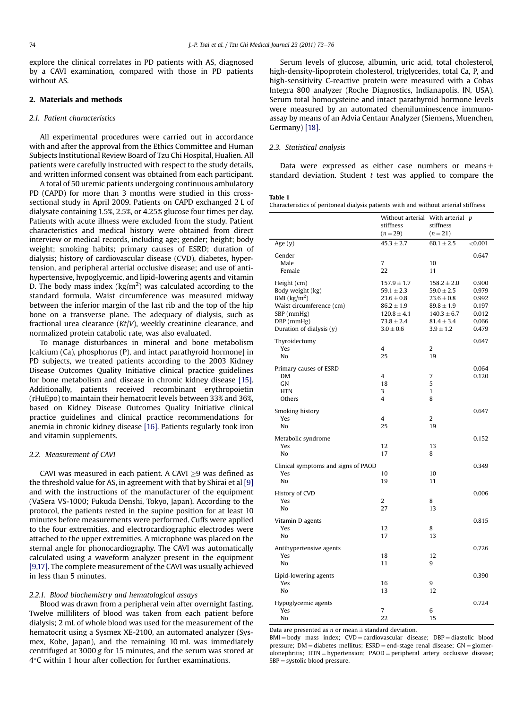<span id="page-1-0"></span>explore the clinical correlates in PD patients with AS, diagnosed by a CAVI examination, compared with those in PD patients without AS.

## 2. Materials and methods

#### 2.1. Patient characteristics

All experimental procedures were carried out in accordance with and after the approval from the Ethics Committee and Human Subjects Institutional Review Board of Tzu Chi Hospital, Hualien. All patients were carefully instructed with respect to the study details, and written informed consent was obtained from each participant.

A total of 50 uremic patients undergoing continuous ambulatory PD (CAPD) for more than 3 months were studied in this crosssectional study in April 2009. Patients on CAPD exchanged 2 L of dialysate containing 1.5%, 2.5%, or 4.25% glucose four times per day. Patients with acute illness were excluded from the study. Patient characteristics and medical history were obtained from direct interview or medical records, including age; gender; height; body weight; smoking habits; primary causes of ESRD; duration of dialysis; history of cardiovascular disease (CVD), diabetes, hypertension, and peripheral arterial occlusive disease; and use of antihypertensive, hypoglycemic, and lipid-lowering agents and vitamin D. The body mass index (kg/m<sup>2</sup>) was calculated according to the standard formula. Waist circumference was measured midway between the inferior margin of the last rib and the top of the hip bone on a transverse plane. The adequacy of dialysis, such as fractional urea clearance  $(Kt/V)$ , weekly creatinine clearance, and normalized protein catabolic rate, was also evaluated.

To manage disturbances in mineral and bone metabolism [calcium (Ca), phosphorus (P), and intact parathyroid hormone] in PD subjects, we treated patients according to the 2003 Kidney Disease Outcomes Quality Initiative clinical practice guidelines for bone metabolism and disease in chronic kidney disease [\[15\].](#page-3-0) Additionally, patients received recombinant erythropoietin (rHuEpo) to maintain their hematocrit levels between 33% and 36%, based on Kidney Disease Outcomes Quality Initiative clinical practice guidelines and clinical practice recommendations for anemia in chronic kidney disease [\[16\]](#page-3-0). Patients regularly took iron and vitamin supplements.

#### 2.2. Measurement of CAVI

CAVI was measured in each patient. A CAVI  $\geq$ 9 was defined as the threshold value for AS, in agreement with that by Shirai et al [\[9\]](#page-3-0) and with the instructions of the manufacturer of the equipment (VaSera VS-1000; Fukuda Denshi, Tokyo, Japan). According to the protocol, the patients rested in the supine position for at least 10 minutes before measurements were performed. Cuffs were applied to the four extremities, and electrocardiographic electrodes were attached to the upper extremities. A microphone was placed on the sternal angle for phonocardiography. The CAVI was automatically calculated using a waveform analyzer present in the equipment [\[9,17\]](#page-3-0). The complete measurement of the CAVI was usually achieved in less than 5 minutes.

#### 2.2.1. Blood biochemistry and hematological assays

Blood was drawn from a peripheral vein after overnight fasting. Twelve milliliters of blood was taken from each patient before dialysis; 2 mL of whole blood was used for the measurement of the hematocrit using a Sysmex XE-2100, an automated analyzer (Sysmex, Kobe, Japan), and the remaining 10 mL was immediately centrifuged at 3000 g for 15 minutes, and the serum was stored at 4C within 1 hour after collection for further examinations.

Serum levels of glucose, albumin, uric acid, total cholesterol, high-density-lipoprotein cholesterol, triglycerides, total Ca, P, and high-sensitivity C-reactive protein were measured with a Cobas Integra 800 analyzer (Roche Diagnostics, Indianapolis, IN, USA). Serum total homocysteine and intact parathyroid hormone levels were measured by an automated chemiluminescence immunoassay by means of an Advia Centaur Analyzer (Siemens, Muenchen, Germany) [\[18\].](#page-3-0)

### 2.3. Statistical analysis

Data were expressed as either case numbers or means  $\pm$ standard deviation. Student  $t$  test was applied to compare the

#### Table 1

| Characteristics of peritoneal dialysis patients with and without arterial stiffness |  |  |  |  |  |  |
|-------------------------------------------------------------------------------------|--|--|--|--|--|--|
|-------------------------------------------------------------------------------------|--|--|--|--|--|--|

|                                                                                                                                                            | Without arterial With arterial p<br>stiffness<br>$(n = 29)$                                                                 | stiffness<br>$(n=21)$                                                                                                       |                                                             |
|------------------------------------------------------------------------------------------------------------------------------------------------------------|-----------------------------------------------------------------------------------------------------------------------------|-----------------------------------------------------------------------------------------------------------------------------|-------------------------------------------------------------|
| Age $(y)$                                                                                                                                                  | $45.3 \pm 2.7$                                                                                                              | $60.1 \pm 2.5$                                                                                                              | < 0.001                                                     |
| Gender<br>Male<br>Female                                                                                                                                   | $\overline{7}$<br>22                                                                                                        | 10<br>11                                                                                                                    | 0.647                                                       |
| Height (cm)<br>Body weight (kg)<br>BMI $\left(\frac{kg}{m^2}\right)$<br>Waist circumference (cm)<br>$SBP$ (mmHg)<br>DBP (mmHg)<br>Duration of dialysis (y) | $157.9 \pm 1.7$<br>$59.1 \pm 2.3$<br>$23.6 \pm 0.8$<br>$86.2 \pm 1.9$<br>$120.8 \pm 4.1$<br>$73.8 \pm 2.4$<br>$3.0 \pm 0.6$ | $158.2 \pm 2.0$<br>$59.0 \pm 2.5$<br>$23.6 \pm 0.8$<br>$89.8 \pm 1.9$<br>$140.3 \pm 6.7$<br>$81.4 \pm 3.4$<br>$3.9 \pm 1.2$ | 0.900<br>0.979<br>0.992<br>0.197<br>0.012<br>0.066<br>0.479 |
| Thyroidectomy<br>Yes<br>No                                                                                                                                 | 4<br>25                                                                                                                     | $\overline{2}$<br>19                                                                                                        | 0.647                                                       |
| Primary causes of ESRD<br>DM<br>GN<br><b>HTN</b><br>Others                                                                                                 | 4<br>18<br>3<br>$\overline{4}$                                                                                              | 7<br>5<br>$\mathbf{1}$<br>8                                                                                                 | 0.064<br>0.120                                              |
| Smoking history<br>Yes<br>No                                                                                                                               | 4<br>25                                                                                                                     | $\overline{2}$<br>19                                                                                                        | 0.647                                                       |
| Metabolic syndrome<br>Yes<br>No                                                                                                                            | 12<br>17                                                                                                                    | 13<br>8                                                                                                                     | 0.152                                                       |
| Clinical symptoms and signs of PAOD<br>Yes<br>No                                                                                                           | 10<br>19                                                                                                                    | 10<br>11                                                                                                                    | 0.349                                                       |
| History of CVD<br>Yes<br>No                                                                                                                                | 2<br>27                                                                                                                     | 8<br>13                                                                                                                     | 0.006                                                       |
| Vitamin D agents<br>Yes<br>No                                                                                                                              | 12<br>17                                                                                                                    | 8<br>13                                                                                                                     | 0.815                                                       |
| Antihypertensive agents<br>Yes<br>No                                                                                                                       | 18<br>11                                                                                                                    | 12<br>9                                                                                                                     | 0.726                                                       |
| Lipid-lowering agents<br>Yes<br>No                                                                                                                         | 16<br>13                                                                                                                    | 9<br>12                                                                                                                     | 0.390                                                       |
| Hypoglycemic agents<br>Yes<br>No                                                                                                                           | 7<br>22                                                                                                                     | 6<br>15                                                                                                                     | 0.724                                                       |

Data are presented as  $n$  or mean  $\pm$  standard deviation.

 $BMI = body$  mass index;  $CVD = cardiovascular$  disease;  $DBP = diastolic blood$ pressure;  $DM = diabetes$  mellitus;  $ESRD = end-stage$  renal disease;  $GN = glomer$ ulonephritis; HTN = hypertension; PAOD = peripheral artery occlusive disease;  $SBP = systolic blood pressure.$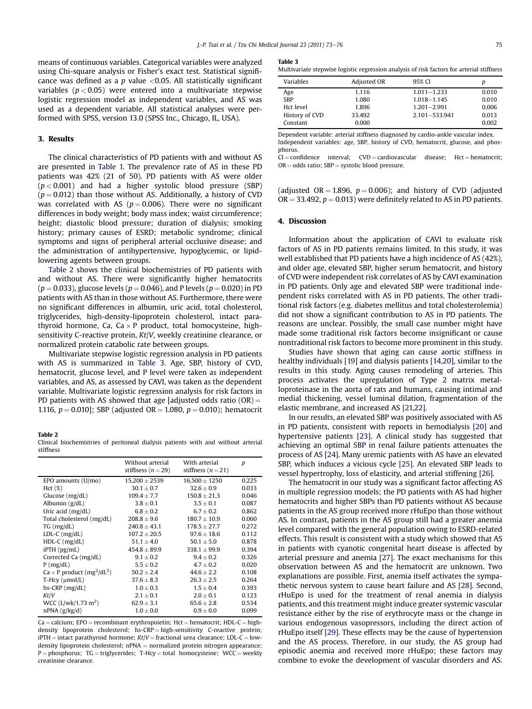means of continuous variables. Categorical variables were analyzed using Chi-square analysis or Fisher's exact test. Statistical significance was defined as a  $p$  value <0.05. All statistically significant variables ( $p < 0.05$ ) were entered into a multivariate stepwise logistic regression model as independent variables, and AS was used as a dependent variable. All statistical analyses were performed with SPSS, version 13.0 (SPSS Inc., Chicago, IL, USA).

#### 3. Results

The clinical characteristics of PD patients with and without AS are presented in [Table 1.](#page-1-0) The prevalence rate of AS in these PD patients was 42% (21 of 50). PD patients with AS were older  $(p < 0.001)$  and had a higher systolic blood pressure (SBP)  $(p = 0.012)$  than those without AS. Additionally, a history of CVD was correlated with AS ( $p = 0.006$ ). There were no significant differences in body weight; body mass index; waist circumference; height; diastolic blood pressure; duration of dialysis; smoking history; primary causes of ESRD; metabolic syndrome; clinical symptoms and signs of peripheral arterial occlusive disease; and the administration of antihypertensive, hypoglycemic, or lipidlowering agents between groups.

Table 2 shows the clinical biochemistries of PD patients with and without AS. There were significantly higher hematocrits  $(p = 0.033)$ , glucose levels  $(p = 0.046)$ , and P levels  $(p = 0.020)$  in PD patients with AS than in those without AS. Furthermore, there were no significant differences in albumin, uric acid, total cholesterol, triglycerides, high-density-lipoprotein cholesterol, intact parathyroid hormone, Ca, Ca  $\times$  P product, total homocysteine, highsensitivity C-reactive protein, Kt/V, weekly creatinine clearance, or normalized protein catabolic rate between groups.

Multivariate stepwise logistic regression analysis in PD patients with AS is summarized in Table 3. Age, SBP, history of CVD, hematocrit, glucose level, and P level were taken as independent variables, and AS, as assessed by CAVI, was taken as the dependent variable. Multivariate logistic regression analysis for risk factors in PD patients with AS showed that age [adjusted odds ratio  $(OR)$  = 1.116,  $p = 0.010$ ; SBP (adjusted OR = 1.080,  $p = 0.010$ ); hematocrit

#### Table 2

|           | Clinical biochemistries of peritoneal dialysis patients with and without arterial |  |  |  |  |
|-----------|-----------------------------------------------------------------------------------|--|--|--|--|
| stiffness |                                                                                   |  |  |  |  |

|                                                           | Without arterial<br>stiffness ( $n = 29$ ) | With arterial<br>stiffness $(n=21)$ | p     |
|-----------------------------------------------------------|--------------------------------------------|-------------------------------------|-------|
| EPO amounts (U/mo)                                        | $15,200 \pm 2539$                          | $16,500 \pm 1250$                   | 0.225 |
| Hct(%)                                                    | $30.1 \pm 0.7$                             | $32.6 \pm 0.9$                      | 0.033 |
| Glucose $(mg/dL)$                                         | $109.4 \pm 7.7$                            | $150.8 \pm 21.3$                    | 0.046 |
| Albumin $(g/dL)$                                          | $3.8 \pm 0.1$                              | $3.5 \pm 0.1$                       | 0.087 |
| Uric acid $(mg/dL)$                                       | $6.8 \pm 0.2$                              | $6.7 + 0.2$                         | 0.862 |
| Total cholesterol (mg/dL)                                 | $208.8 \pm 9.6$                            | $180.7 \pm 10.9$                    | 0.060 |
| $TG$ (mg/dL)                                              | $240.8 \pm 43.1$                           | $178.5 \pm 27.7$                    | 0.272 |
| $LDL-C$ ( $mg/dL$ )                                       | $107.2 \pm 20.5$                           | $97.6 \pm 18.6$                     | 0.112 |
| $HDL-C$ (mg/dL)                                           | $51.1 \pm 4.0$                             | $50.1 \pm 5.0$                      | 0.878 |
| $i$ PTH $(pg/mL)$                                         | $454.8 \pm 89.9$                           | $338.1 \pm 99.9$                    | 0.394 |
| Corrected Ca (mg/dL)                                      | $9.1 \pm 0.2$                              | $9.4 \pm 0.2$                       | 0.326 |
| $P$ (mg/dL)                                               | $5.5 \pm 0.2$                              | $4.7 \pm 0.2$                       | 0.020 |
| $Ca \times P$ product (mg <sup>2</sup> /dL <sup>2</sup> ) | $50.2 \pm 2.4$                             | $44.6 \pm 2.2$                      | 0.108 |
| $T-Hcv$ ( $\mu$ mol/L)                                    | $37.6 \pm 8.3$                             | $26.3 \pm 2.5$                      | 0.264 |
| $hs-CRP$ ( $mg/dL$ )                                      | $1.0 \pm 0.3$                              | $1.5 \pm 0.4$                       | 0.393 |
| Kt/V                                                      | $2.1 \pm 0.1$                              | $2.0 \pm 0.1$                       | 0.123 |
| WCC $(L/wk/1.73 m2)$                                      | $62.9 \pm 3.1$                             | $65.6 \pm 2.8$                      | 0.534 |
| $nPNA$ (g/kg/d)                                           | $1.0 \pm 0.0$                              | $0.9 \pm 0.0$                       | 0.099 |

 $Ca =$  calcium; EPO = recombinant erythropoietin; Hct = hematocrit; HDL-C = highdensity lipoprotein cholesterol; hs-CRP = high-sensitivity C-reactive protein;  $iPTH =$  intact parathyroid hormone;  $Kt/V =$  fractional urea clearance; LDL-C = lowdensity lipoprotein cholesterol;  $nPNA = normalized protein nitrogen appearance$ ;  $P =$  phosphorus; TG = triglycerides; T-Hcy = total homocysteine; WCC = weekly creatinine clearance.

#### Table 3

Multivariate stepwise logistic regression analysis of risk factors for arterial stiffness

| Variables      | Adjusted OR | 95% CI            | p     |
|----------------|-------------|-------------------|-------|
| Age            | 1.116       | $1.011 - 1.233$   | 0.010 |
| <b>SBP</b>     | 1.080       | 1.018-1.145       | 0.010 |
| Hct level      | 1.896       | $1.201 - 2.991$   | 0.006 |
| History of CVD | 33.492      | $2.101 - 533.941$ | 0.013 |
| Constant       | 0.000       |                   | 0.002 |

Dependent variable: arterial stiffness diagnosed by cardio-ankle vascular index. Independent variables: age, SBP, history of CVD, hematocrit, glucose, and phosphorus.

 $CI =$  confidence interval;  $CVD =$  cardiovascular disease;  $Hct =$  hematocrit;  $OR = odds ratio; SBP = systolic blood pressure.$ 

(adjusted  $OR = 1.896$ ,  $p = 0.006$ ); and history of CVD (adjusted  $OR = 33.492$ ,  $p = 0.013$ ) were definitely related to AS in PD patients.

#### 4. Discussion

Information about the application of CAVI to evaluate risk factors of AS in PD patients remains limited. In this study, it was well established that PD patients have a high incidence of AS (42%), and older age, elevated SBP, higher serum hematocrit, and history of CVD were independent risk correlates of AS by CAVI examination in PD patients. Only age and elevated SBP were traditional independent risks correlated with AS in PD patients. The other traditional risk factors (e.g. diabetes mellitus and total cholesterolemia) did not show a significant contribution to AS in PD patients. The reasons are unclear. Possibly, the small case number might have made some traditional risk factors become insignificant or cause nontraditional risk factors to become more prominent in this study.

Studies have shown that aging can cause aortic stiffness in healthy individuals [\[19\]](#page-3-0) and dialysis patients [\[14,20\]](#page-3-0), similar to the results in this study. Aging causes remodeling of arteries. This process activates the upregulation of Type 2 matrix metalloproteinase in the aorta of rats and humans, causing intimal and medial thickening, vessel luminal dilation, fragmentation of the elastic membrane, and increased AS [\[21,22\]](#page-3-0).

In our results, an elevated SBP was positively associated with AS in PD patients, consistent with reports in hemodialysis [\[20\]](#page-3-0) and hypertensive patients [\[23\]](#page-3-0). A clinical study has suggested that achieving an optimal SBP in renal failure patients attenuates the process of AS [\[24\].](#page-3-0) Many uremic patients with AS have an elevated SBP, which induces a vicious cycle [\[25\]](#page-3-0). An elevated SBP leads to vessel hypertrophy, loss of elasticity, and arterial stiffening [\[26\].](#page-3-0)

The hematocrit in our study was a significant factor affecting AS in multiple regression models; the PD patients with AS had higher hematocrits and higher SBPs than PD patients without AS because patients in the AS group received more rHuEpo than those without AS. In contrast, patients in the AS group still had a greater anemia level compared with the general population owing to ESRD-related effects. This result is consistent with a study which showed that AS in patients with cyanotic congenital heart disease is affected by arterial pressure and anemia [\[27\]](#page-3-0). The exact mechanisms for this observation between AS and the hematocrit are unknown. Two explanations are possible. First, anemia itself activates the sympathetic nervous system to cause heart failure and AS [\[28\].](#page-3-0) Second, rHuEpo is used for the treatment of renal anemia in dialysis patients, and this treatment might induce greater systemic vascular resistance either by the rise of erythrocyte mass or the change in various endogenous vasopressors, including the direct action of rHuEpo itself [\[29\].](#page-3-0) These effects may be the cause of hypertension and the AS process. Therefore, in our study, the AS group had episodic anemia and received more rHuEpo; these factors may combine to evoke the development of vascular disorders and AS.